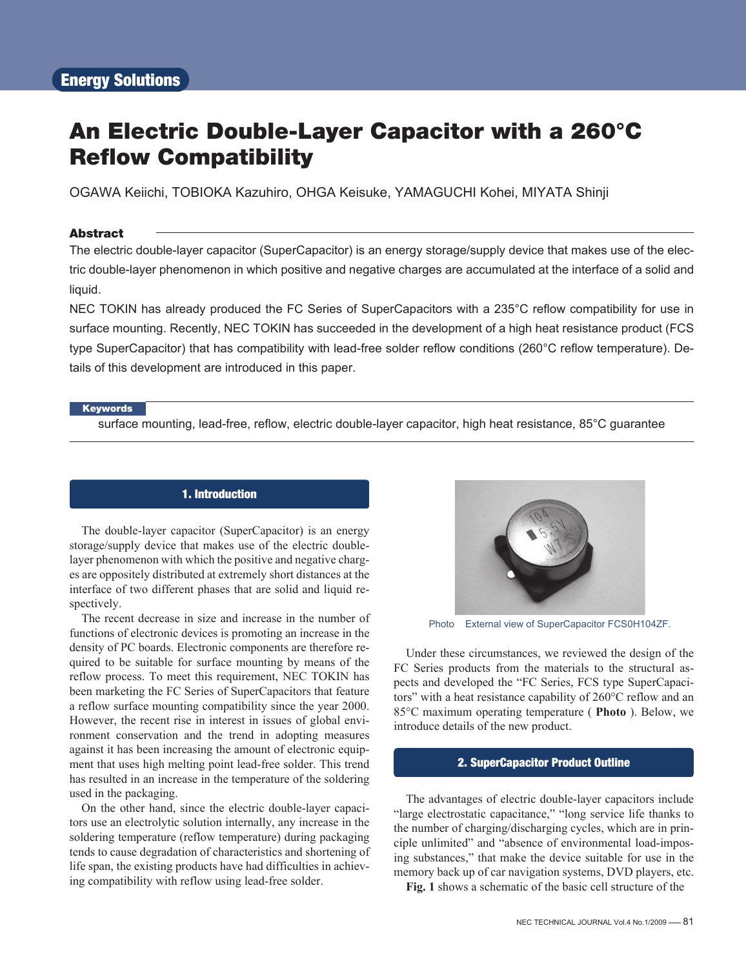# An Electric Double-Layer Capacitor with a 260°C Reflow Compatibility

OGAWA Keiichi, TOBIOKA Kazuhiro, OHGA Keisuke, YAMAGUCHI Kohei, MIYATA Shinji

## Abstract

The electric double-layer capacitor (SuperCapacitor) is an energy storage/supply device that makes use of the electric double-layer phenomenon in which positive and negative charges are accumulated at the interface of a solid and liquid.

NEC TOKIN has already produced the FC Series of SuperCapacitors with a 235°C reflow compatibility for use in surface mounting. Recently, NEC TOKIN has succeeded in the development of a high heat resistance product (FCS type SuperCapacitor) that has compatibility with lead-free solder reflow conditions (260°C reflow temperature). Details of this development are introduced in this paper.

#### **Keywords**

surface mounting, lead-free, reflow, electric double-layer capacitor, high heat resistance, 85°C guarantee

# 1. Introduction

The double-layer capacitor (SuperCapacitor) is an energy storage/supply device that makes use of the electric doublelayer phenomenon with which the positive and negative charges are oppositely distributed at extremely short distances at the interface of two different phases that are solid and liquid respectively.

The recent decrease in size and increase in the number of functions of electronic devices is promoting an increase in the density of PC boards. Electronic components are therefore required to be suitable for surface mounting by means of the reflow process. To meet this requirement, NEC TOKIN has been marketing the FC Series of SuperCapacitors that feature a reflow surface mounting compatibility since the year 2000. However, the recent rise in interest in issues of global environment conservation and the trend in adopting measures against it has been increasing the amount of electronic equipment that uses high melting point lead-free solder. This trend has resulted in an increase in the temperature of the soldering used in the packaging.

On the other hand, since the electric double-layer capacitors use an electrolytic solution internally, any increase in the soldering temperature (reflow temperature) during packaging tends to cause degradation of characteristics and shortening of life span, the existing products have had difficulties in achieving compatibility with reflow using lead-free solder.



Photo External view of SuperCapacitor FCS0H104ZF.

Under these circumstances, we reviewed the design of the FC Series products from the materials to the structural aspects and developed the "FC Series, FCS type SuperCapacitors" with a heat resistance capability of 260°C reflow and an 85°C maximum operating temperature ( **Photo** ). Below, we introduce details of the new product.

## 2. SuperCapacitor Product Outline

The advantages of electric double-layer capacitors include "large electrostatic capacitance," "long service life thanks to the number of charging/discharging cycles, which are in principle unlimited" and "absence of environmental load-imposing substances," that make the device suitable for use in the memory back up of car navigation systems, DVD players, etc.

**Fig. 1** shows a schematic of the basic cell structure of the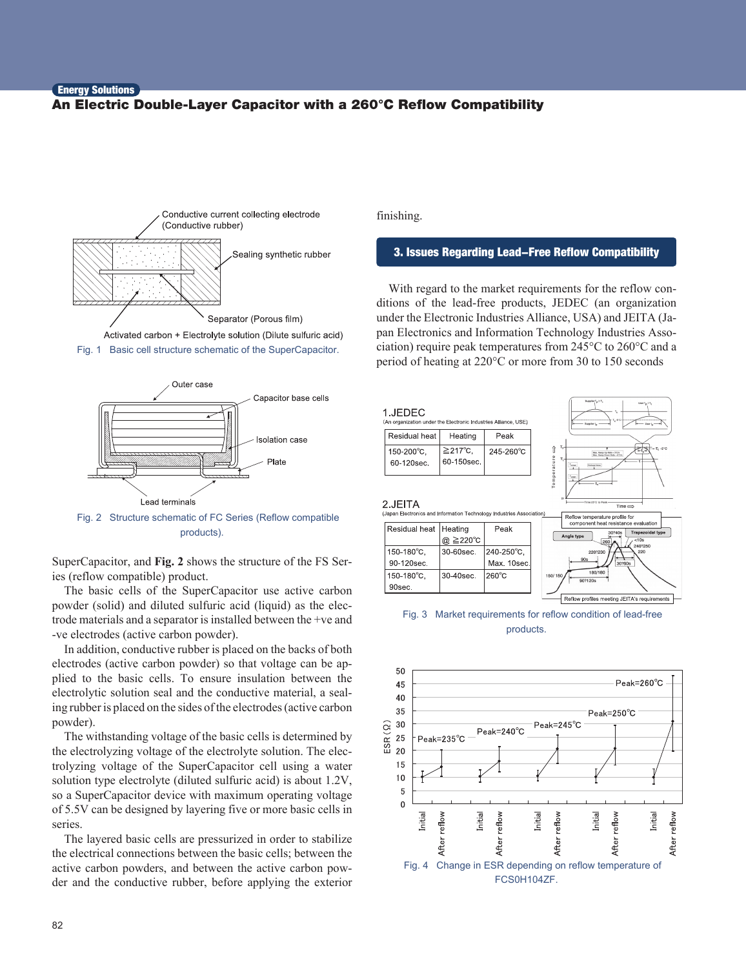## **Energy Solutions** An Electric Double-Layer Capacitor with a 260°C Reflow Compatibility







Fig. 2 Structure schematic of FC Series (Reflow compatible products).

SuperCapacitor, and **Fig. 2** shows the structure of the FS Series (reflow compatible) product.

The basic cells of the SuperCapacitor use active carbon powder (solid) and diluted sulfuric acid (liquid) as the electrode materials and a separator is installed between the +ve and -ve electrodes (active carbon powder).

In addition, conductive rubber is placed on the backs of both electrodes (active carbon powder) so that voltage can be applied to the basic cells. To ensure insulation between the electrolytic solution seal and the conductive material, a sealing rubber is placed on the sides of the electrodes (active carbon powder).

The withstanding voltage of the basic cells is determined by the electrolyzing voltage of the electrolyte solution. The electrolyzing voltage of the SuperCapacitor cell using a water solution type electrolyte (diluted sulfuric acid) is about 1.2V, so a SuperCapacitor device with maximum operating voltage of 5.5V can be designed by layering five or more basic cells in series.

The layered basic cells are pressurized in order to stabilize the electrical connections between the basic cells; between the active carbon powders, and between the active carbon powder and the conductive rubber, before applying the exterior finishing.

### 3. Issues Regarding Lead-Free Reflow Compatibility

With regard to the market requirements for the reflow conditions of the lead-free products, JEDEC (an organization under the Electronic Industries Alliance, USA) and JEITA (Japan Electronics and Information Technology Industries Association) require peak temperatures from 245°C to 260°C and a period of heating at 220°C or more from 30 to 150 seconds



Fig. 3 Market requirements for reflow condition of lead-free products.

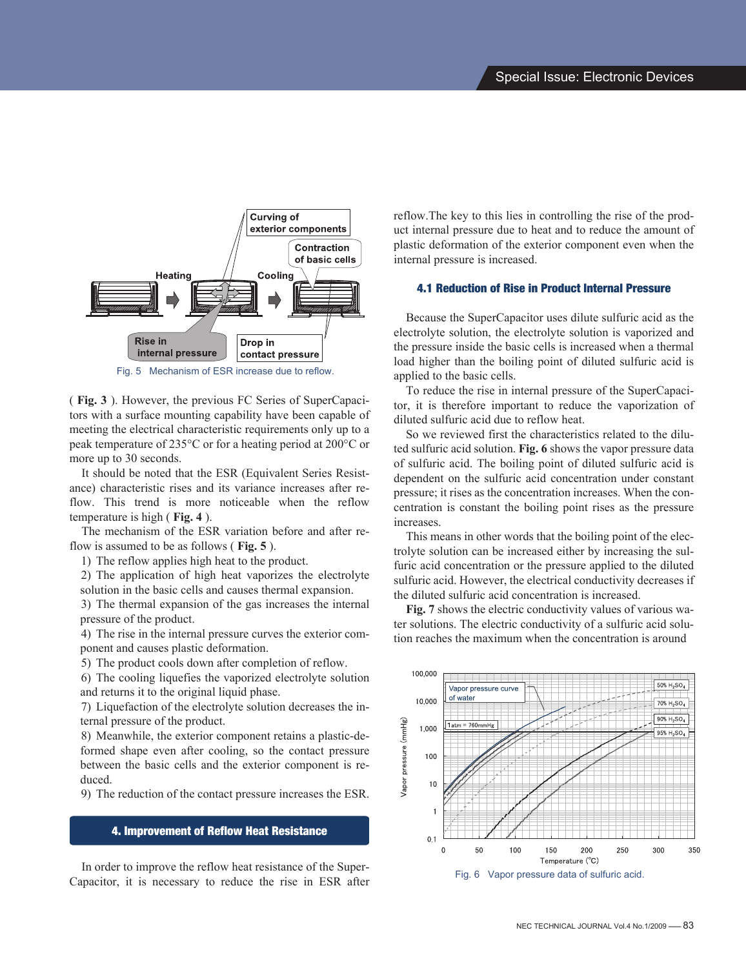

( **Fig. 3** ). However, the previous FC Series of SuperCapacitors with a surface mounting capability have been capable of meeting the electrical characteristic requirements only up to a peak temperature of 235°C or for a heating period at 200°C or more up to 30 seconds.

It should be noted that the ESR (Equivalent Series Resistance) characteristic rises and its variance increases after reflow. This trend is more noticeable when the reflow temperature is high ( **Fig. 4** ).

The mechanism of the ESR variation before and after reflow is assumed to be as follows ( **Fig. 5** ).

1) The reflow applies high heat to the product.

2) The application of high heat vaporizes the electrolyte solution in the basic cells and causes thermal expansion.

3) The thermal expansion of the gas increases the internal pressure of the product.

4) The rise in the internal pressure curves the exterior component and causes plastic deformation.

5) The product cools down after completion of reflow.

6) The cooling liquefies the vaporized electrolyte solution and returns it to the original liquid phase.

7) Liquefaction of the electrolyte solution decreases the internal pressure of the product.

8) Meanwhile, the exterior component retains a plastic-deformed shape even after cooling, so the contact pressure between the basic cells and the exterior component is reduced.

9) The reduction of the contact pressure increases the ESR.

## 4. Improvement of Reflow Heat Resistance

In order to improve the reflow heat resistance of the Super-Capacitor, it is necessary to reduce the rise in ESR after reflow.The key to this lies in controlling the rise of the product internal pressure due to heat and to reduce the amount of plastic deformation of the exterior component even when the internal pressure is increased.

#### 4.1 Reduction of Rise in Product Internal Pressure

Because the SuperCapacitor uses dilute sulfuric acid as the electrolyte solution, the electrolyte solution is vaporized and the pressure inside the basic cells is increased when a thermal load higher than the boiling point of diluted sulfuric acid is applied to the basic cells.

To reduce the rise in internal pressure of the SuperCapacitor, it is therefore important to reduce the vaporization of diluted sulfuric acid due to reflow heat.

So we reviewed first the characteristics related to the diluted sulfuric acid solution. **Fig. 6** shows the vapor pressure data of sulfuric acid. The boiling point of diluted sulfuric acid is dependent on the sulfuric acid concentration under constant pressure; it rises as the concentration increases. When the concentration is constant the boiling point rises as the pressure increases.

This means in other words that the boiling point of the electrolyte solution can be increased either by increasing the sulfuric acid concentration or the pressure applied to the diluted sulfuric acid. However, the electrical conductivity decreases if the diluted sulfuric acid concentration is increased.

**Fig. 7** shows the electric conductivity values of various water solutions. The electric conductivity of a sulfuric acid solution reaches the maximum when the concentration is around

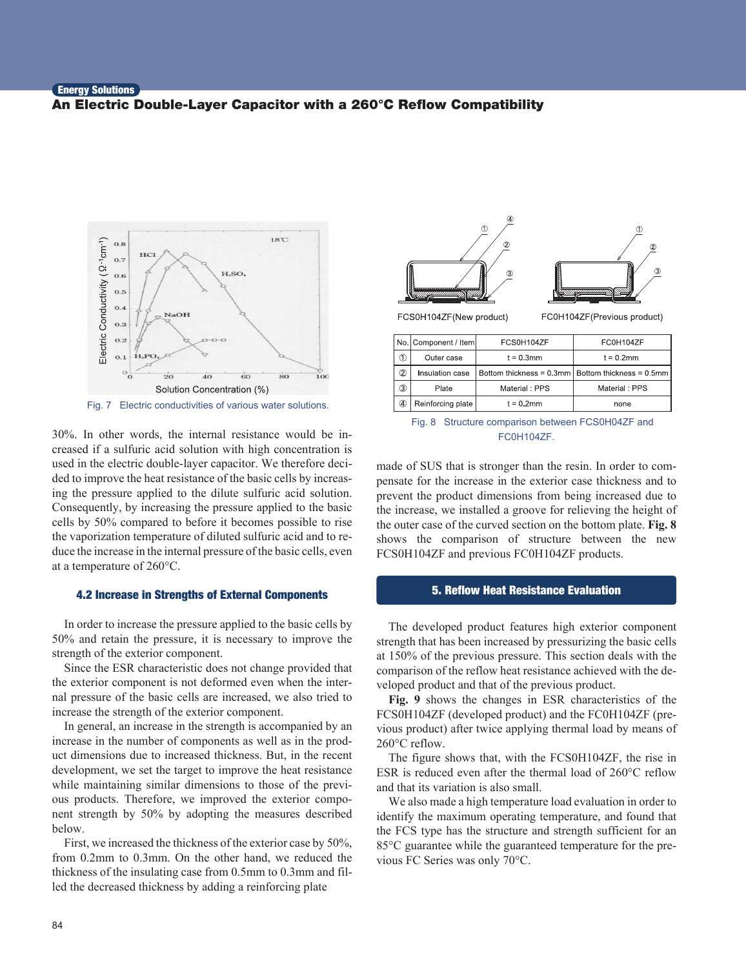# **Energy Solutions** An Electric Double-Layer Capacitor with a 260°C Reflow Compatibility



Fig. 7 Electric conductivities of various water solutions.

30%. In other words, the internal resistance would be increased if a sulfuric acid solution with high concentration is used in the electric double-layer capacitor. We therefore decided to improve the heat resistance of the basic cells by increasing the pressure applied to the dilute sulfuric acid solution. Consequently, by increasing the pressure applied to the basic cells by 50% compared to before it becomes possible to rise the vaporization temperature of diluted sulfuric acid and to reduce the increase in the internal pressure of the basic cells, even at a temperature of 260°C.

## 4.2 Increase in Strengths of External Components

In order to increase the pressure applied to the basic cells by 50% and retain the pressure, it is necessary to improve the strength of the exterior component.

Since the ESR characteristic does not change provided that the exterior component is not deformed even when the internal pressure of the basic cells are increased, we also tried to increase the strength of the exterior component.

In general, an increase in the strength is accompanied by an increase in the number of components as well as in the product dimensions due to increased thickness. But, in the recent development, we set the target to improve the heat resistance while maintaining similar dimensions to those of the previous products. Therefore, we improved the exterior component strength by 50% by adopting the measures described below.

First, we increased the thickness of the exterior case by 50%, from 0.2mm to 0.3mm. On the other hand, we reduced the thickness of the insulating case from 0.5mm to 0.3mm and filled the decreased thickness by adding a reinforcing plate



FC0H104ZF(Previous product)

|   | No. Component / Item | FCS0H104ZF    | FC0H104ZF                                                 |
|---|----------------------|---------------|-----------------------------------------------------------|
|   | Outer case           | $t = 0.3$ mm  | $t = 0.2$ mm                                              |
| 2 | Insulation case      |               | Bottom thickness = $0.3$ mm   Bottom thickness = $0.5$ mm |
| 3 | Plate                | Material: PPS | Material: PPS                                             |
| 4 | Reinforcing plate    | $t = 0.2$ mm  | none                                                      |

Fig. 8 Structure comparison between FCS0H04ZF and FC0H104ZF.

made of SUS that is stronger than the resin. In order to compensate for the increase in the exterior case thickness and to prevent the product dimensions from being increased due to the increase, we installed a groove for relieving the height of the outer case of the curved section on the bottom plate. **Fig. 8** shows the comparison of structure between the new FCS0H104ZF and previous FC0H104ZF products.

#### 5. Reflow Heat Resistance Evaluation

The developed product features high exterior component strength that has been increased by pressurizing the basic cells at 150% of the previous pressure. This section deals with the comparison of the reflow heat resistance achieved with the developed product and that of the previous product.

**Fig. 9** shows the changes in ESR characteristics of the FCS0H104ZF (developed product) and the FC0H104ZF (previous product) after twice applying thermal load by means of 260°C reflow.

The figure shows that, with the FCS0H104ZF, the rise in ESR is reduced even after the thermal load of 260°C reflow and that its variation is also small.

We also made a high temperature load evaluation in order to identify the maximum operating temperature, and found that the FCS type has the structure and strength sufficient for an 85°C guarantee while the guaranteed temperature for the previous FC Series was only 70°C.